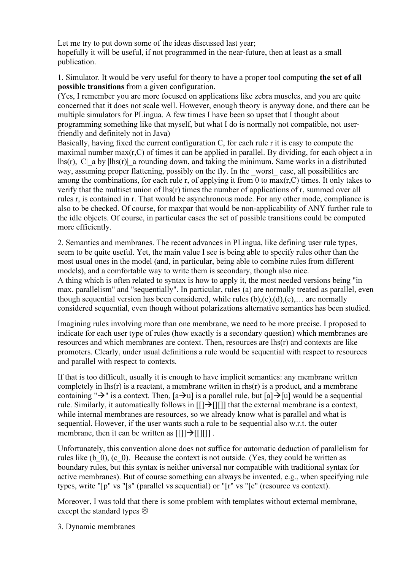Let me try to put down some of the ideas discussed last year; hopefully it will be useful, if not programmed in the near-future, then at least as a small publication.

1. Simulator. It would be very useful for theory to have a proper tool computing the set of all possible transitions from a given configuration.

(Yes, I remember you are more focused on applications like zebra muscles, and you are quite concerned that it does not scale well. However, enough theory is anyway done, and there can be multiple simulators for PLingua. A few times I have been so upset that I thought about programming something like that myself, but what I do is normally not compatible, not userfriendly and definitely not in Java)

Basically, having fixed the current configuration C, for each rule r it is easy to compute the maximal number  $max(r, C)$  of times it can be applied in parallel. By dividing, for each object a in lhs(r),  $|C|$  a by  $|l|$ hs(r) a rounding down, and taking the minimum. Same works in a distributed way, assuming proper flattening, possibly on the fly. In the worst case, all possibilities are among the combinations, for each rule r, of applying it from 0 to  $max(r, C)$  times. It only takes to verify that the multiset union of lhs(r) times the number of applications of r, summed over all rules r, is contained in r. That would be asynchronous mode. For any other mode, compliance is also to be checked. Of course, for maxpar that would be non-applicability of ANY further rule to the idle objects. Of course, in particular cases the set of possible transitions could be computed more efficiently.

2. Semantics and membranes. The recent advances in PLingua, like defining user rule types, seem to be quite useful. Yet, the main value I see is being able to specify rules other than the most usual ones in the model (and, in particular, being able to combine rules from different models), and a comfortable way to write them is secondary, though also nice. A thing which is often related to syntax is how to apply it, the most needed versions being "in

max. parallelism" and "sequentially". In particular, rules (a) are normally treated as parallel, even though sequential version has been considered, while rules  $(b)$ , $(c)$ , $(d)$ , $(e)$ ,... are normally considered sequential, even though without polarizations alternative semantics has been studied.

Imagining rules involving more than one membrane, we need to be more precise. I proposed to indicate for each user type of rules (how exactly is a secondary question) which membranes are resources and which membranes are context. Then, resources are lhs(r) and contexts are like promoters. Clearly, under usual definitions a rule would be sequential with respect to resources and parallel with respect to contexts.

If that is too difficult, usually it is enough to have implicit semantics: any membrane written completely in lhs(r) is a reactant, a membrane written in rhs(r) is a product, and a membrane containing " $\rightarrow$ " is a context. Then, [a $\rightarrow$ u] is a parallel rule, but [a] $\rightarrow$ [u] would be a sequential rule. Similarly, it automatically follows in  $[[]\rightarrow[[]]]$  that the external membrane is a context, while internal membranes are resources, so we already know what is parallel and what is sequential. However, if the user wants such a rule to be sequential also w.r.t. the outer membrane, then it can be written as  $[[]] \rightarrow [[][]]]$ .

Unfortunately, this convention alone does not suffice for automatic deduction of parallelism for rules like (b\_0), (c\_0). Because the context is not outside. (Yes, they could be written as boundary rules, but this syntax is neither universal nor compatible with traditional syntax for active membranes). But of course something can always be invented, e.g., when specifying rule types, write "[p" vs "[s" (parallel vs sequential) or "[r" vs "[c" (resource vs context).

Moreover, I was told that there is some problem with templates without external membrane, except the standard types  $\circledcirc$ 

3. Dynamic membranes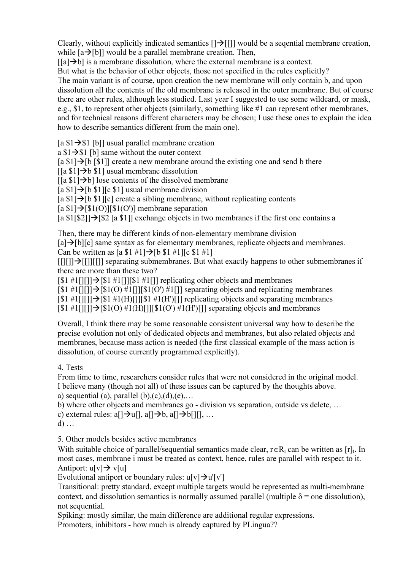Clearly, without explicitly indicated semantics  $[\exists \exists$  [[]] would be a segential membrane creation, while  $[a\rightarrow[b]]$  would be a parallel membrane creation. Then,

 $\lceil \lceil a \rceil \rightarrow b \rceil$  is a membrane dissolution, where the external membrane is a context.

But what is the behavior of other objects, those not specified in the rules explicitly?

The main variant is of course, upon creation the new membrane will only contain b, and upon dissolution all the contents of the old membrane is released in the outer membrane. But of course there are other rules, although less studied. Last year I suggested to use some wildcard, or mask, e.g., \$1, to represent other objects (similarly, something like #1 can represent other membranes, and for technical reasons different characters may be chosen; I use these ones to explain the idea how to describe semantics different from the main one).

 $[a $1 \rightarrow $1$  [b]] usual parallel membrane creation

a  $$1 \rightarrow $1$  [b] same without the outer context

[a  $$1]$   $\rightarrow$  [b [\$1]] create a new membrane around the existing one and send b there

 $\left[ \left[ a \ \$1 \right] \rightarrow b \ \$1 \right]$  usual membrane dissolution

 $\left[ \left[ a \ \$1 \right] \rightarrow b \right]$  lose contents of the dissolved membrane

 $[a \$1] \rightarrow [b \$1]$  [c \times 1] usual membrane division

 $[a \$1] \rightarrow [b \$1] [c]$  create a sibling membrane, without replicating contents

 $[a $1] \rightarrow [\$1(0)][\$1(0')]$  membrane separation

[a  $\{1\}_{\{82\}}$ ]  $\rightarrow$  [82 [a  $\{1\}$ ] exchange objects in two membranes if the first one contains a

Then, there may be different kinds of non-elementary membrane division

 $[a] \rightarrow [b][c]$  same syntax as for elementary membranes, replicate objects and membranes. Can be written as  $[a $1 #1] \rightarrow [b $1 #1][c $1 #1]$ 

 $[[|]$ [ $]$ ] $\rightarrow$ [[]][[]] separating submembranes. But what exactly happens to other submembranes if there are more than these two?

 $[$1 #1]]] \rightarrow [\$1 #1]]]$ [\stepset]] replicating other objects and membranes

 $[$1 #1]][]] \rightarrow [\$1(0) #1[]]$ [\stationg objects and replicating membranes]

 $[$1 \#1$ [][]] $]$ ][ $$1 \#1$ (H)[]][\$1 #1(H)[]] replicating objects and separating membranes

 $[$1 \#1[]]]\rightarrow[$1(O) \#1(H)[]][$1(O') \#1(H)[]]$  separating objects and membranes

Overall, I think there may be some reasonable consistent universal way how to describe the precise evolution not only of dedicated objects and membranes, but also related objects and membranes, because mass action is needed (the first classical example of the mass action is dissolution, of course currently programmed explicitly).

4. Tests

From time to time, researchers consider rules that were not considered in the original model. I believe many (though not all) of these issues can be captured by the thoughts above. a) sequential (a), parallel  $(b)$ , $(c)$ , $(d)$ , $(e)$ ,...

b) where other objects and membranes go - division vs separation, outside vs delete, …

c) external rules:  $a[\rightarrow u[], a[\rightarrow b, a[\rightarrow b[]]], ...$ 

d) …

5. Other models besides active membranes

With suitable choice of parallel/sequential semantics made clear,  $r \in R_i$  can be written as [r]<sub>i</sub>. In most cases, membrane i must be treated as context, hence, rules are parallel with respect to it. Antiport:  $u[v] \rightarrow v[u]$ 

Evolutional antiport or boundary rules:  $u[v] \rightarrow u'[v']$ 

Transitional: pretty standard, except multiple targets would be represented as multi-membrane context, and dissolution semantics is normally assumed parallel (multiple  $\delta$  = one dissolution), not sequential.

Spiking: mostly similar, the main difference are additional regular expressions.

Promoters, inhibitors - how much is already captured by PLingua??